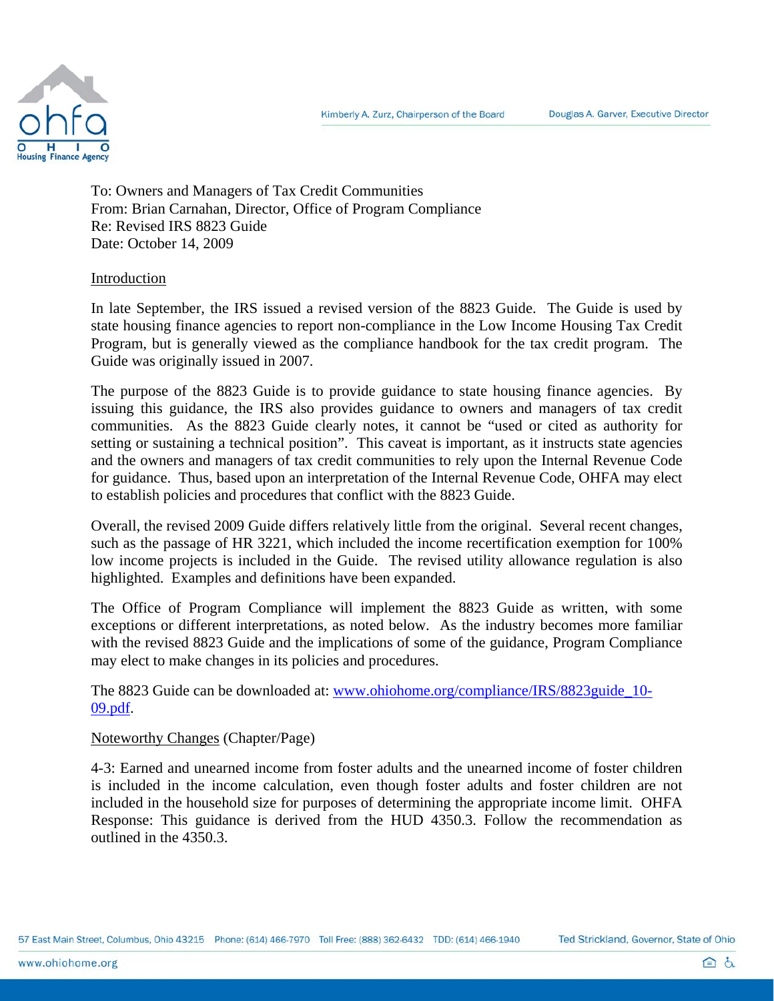

To: Owners and Managers of Tax Credit Communities From: Brian Carnahan, Director, Office of Program Compliance Re: Revised IRS 8823 Guide Date: October 14, 2009

## Introduction

In late September, the IRS issued a revised version of the 8823 Guide. The Guide is used by state housing finance agencies to report non-compliance in the Low Income Housing Tax Credit Program, but is generally viewed as the compliance handbook for the tax credit program. The Guide was originally issued in 2007.

The purpose of the 8823 Guide is to provide guidance to state housing finance agencies. By issuing this guidance, the IRS also provides guidance to owners and managers of tax credit communities. As the 8823 Guide clearly notes, it cannot be "used or cited as authority for setting or sustaining a technical position". This caveat is important, as it instructs state agencies and the owners and managers of tax credit communities to rely upon the Internal Revenue Code for guidance. Thus, based upon an interpretation of the Internal Revenue Code, OHFA may elect to establish policies and procedures that conflict with the 8823 Guide.

Overall, the revised 2009 Guide differs relatively little from the original. Several recent changes, such as the passage of HR 3221, which included the income recertification exemption for 100% low income projects is included in the Guide. The revised utility allowance regulation is also highlighted. Examples and definitions have been expanded.

The Office of Program Compliance will implement the 8823 Guide as written, with some exceptions or different interpretations, as noted below. As the industry becomes more familiar with the revised 8823 Guide and the implications of some of the guidance, Program Compliance may elect to make changes in its policies and procedures.

The 8823 Guide can be downloaded at: [www.ohiohome.org/compliance/IRS/8823guide\\_10-](http://www.ohiohome.org/compliance/IRS/8823guide_10-09.pdf) [09.pdf.](http://www.ohiohome.org/compliance/IRS/8823guide_10-09.pdf)

## Noteworthy Changes (Chapter/Page)

4-3: Earned and unearned income from foster adults and the unearned income of foster children is included in the income calculation, even though foster adults and foster children are not included in the household size for purposes of determining the appropriate income limit. OHFA Response: This guidance is derived from the HUD 4350.3. Follow the recommendation as outlined in the 4350.3.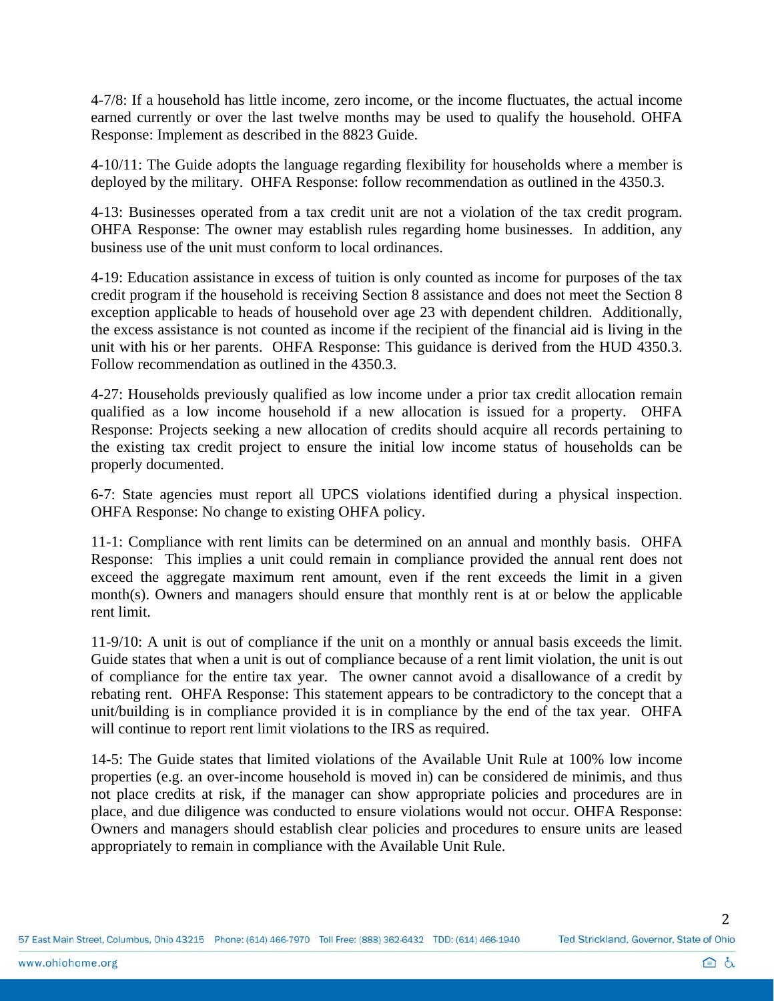4-7/8: If a household has little income, zero income, or the income fluctuates, the actual income earned currently or over the last twelve months may be used to qualify the household. OHFA Response: Implement as described in the 8823 Guide.

4-10/11: The Guide adopts the language regarding flexibility for households where a member is deployed by the military. OHFA Response: follow recommendation as outlined in the 4350.3.

4-13: Businesses operated from a tax credit unit are not a violation of the tax credit program. OHFA Response: The owner may establish rules regarding home businesses. In addition, any business use of the unit must conform to local ordinances.

4-19: Education assistance in excess of tuition is only counted as income for purposes of the tax credit program if the household is receiving Section 8 assistance and does not meet the Section 8 exception applicable to heads of household over age 23 with dependent children. Additionally, the excess assistance is not counted as income if the recipient of the financial aid is living in the unit with his or her parents. OHFA Response: This guidance is derived from the HUD 4350.3. Follow recommendation as outlined in the 4350.3.

4-27: Households previously qualified as low income under a prior tax credit allocation remain qualified as a low income household if a new allocation is issued for a property. OHFA Response: Projects seeking a new allocation of credits should acquire all records pertaining to the existing tax credit project to ensure the initial low income status of households can be properly documented.

6-7: State agencies must report all UPCS violations identified during a physical inspection. OHFA Response: No change to existing OHFA policy.

11-1: Compliance with rent limits can be determined on an annual and monthly basis. OHFA Response: This implies a unit could remain in compliance provided the annual rent does not exceed the aggregate maximum rent amount, even if the rent exceeds the limit in a given month(s). Owners and managers should ensure that monthly rent is at or below the applicable rent limit.

11-9/10: A unit is out of compliance if the unit on a monthly or annual basis exceeds the limit. Guide states that when a unit is out of compliance because of a rent limit violation, the unit is out of compliance for the entire tax year. The owner cannot avoid a disallowance of a credit by rebating rent. OHFA Response: This statement appears to be contradictory to the concept that a unit/building is in compliance provided it is in compliance by the end of the tax year. OHFA will continue to report rent limit violations to the IRS as required.

14-5: The Guide states that limited violations of the Available Unit Rule at 100% low income properties (e.g. an over-income household is moved in) can be considered de minimis, and thus not place credits at risk, if the manager can show appropriate policies and procedures are in place, and due diligence was conducted to ensure violations would not occur. OHFA Response: Owners and managers should establish clear policies and procedures to ensure units are leased appropriately to remain in compliance with the Available Unit Rule.

 $\mathfrak{p}$